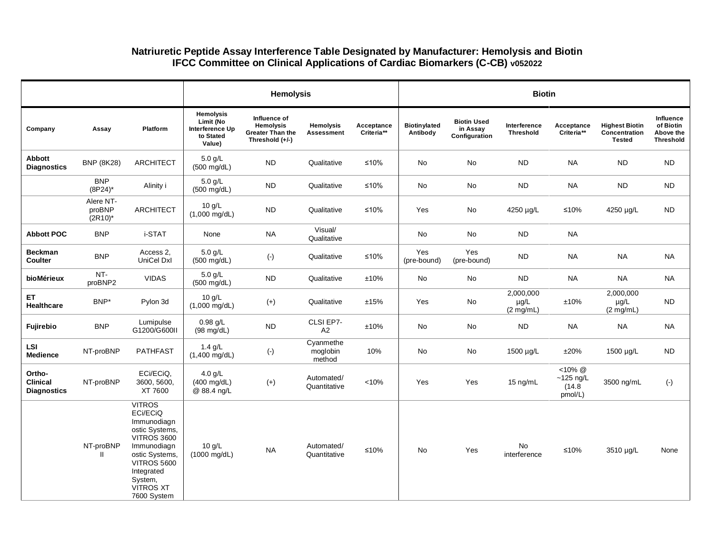## **Natriuretic Peptide Assay Interference Table Designated by Manufacturer: Hemolysis and Biotin IFCC Committee on Clinical Applications of Cardiac Biomarkers (C-CB) v052022**

|                                                 |                                   |                                                                                                                                                                                                     | <b>Hemolysis</b>                                                        |                                                                                |                                       |                          |                                 | <b>Biotin</b>                                   |                                               |                                               |                                                         |                                                         |  |
|-------------------------------------------------|-----------------------------------|-----------------------------------------------------------------------------------------------------------------------------------------------------------------------------------------------------|-------------------------------------------------------------------------|--------------------------------------------------------------------------------|---------------------------------------|--------------------------|---------------------------------|-------------------------------------------------|-----------------------------------------------|-----------------------------------------------|---------------------------------------------------------|---------------------------------------------------------|--|
| Company                                         | Assay                             | Platform                                                                                                                                                                                            | <b>Hemolysis</b><br>Limit (No<br>Interference Up<br>to Stated<br>Value) | Influence of<br><b>Hemolysis</b><br><b>Greater Than the</b><br>Threshold (+/-) | <b>Hemolysis</b><br><b>Assessment</b> | Acceptance<br>Criteria** | <b>Biotinylated</b><br>Antibody | <b>Biotin Used</b><br>in Assay<br>Configuration | Interference<br><b>Threshold</b>              | Acceptance<br>Criteria**                      | <b>Highest Biotin</b><br>Concentration<br><b>Tested</b> | Influence<br>of Biotin<br>Above the<br><b>Threshold</b> |  |
| Abbott<br><b>Diagnostics</b>                    | <b>BNP</b> (8K28)                 | <b>ARCHITECT</b>                                                                                                                                                                                    | $5.0$ g/L<br>(500 mg/dL)                                                | <b>ND</b>                                                                      | Qualitative                           | $≤10%$                   | No                              | No                                              | ${\sf ND}$                                    | <b>NA</b>                                     | <b>ND</b>                                               | <b>ND</b>                                               |  |
|                                                 | <b>BNP</b><br>$(8P24)^*$          | Alinity i                                                                                                                                                                                           | $5.0$ g/L<br>(500 mg/dL)                                                | <b>ND</b>                                                                      | Qualitative                           | $≤10%$                   | No                              | No                                              | <b>ND</b>                                     | <b>NA</b>                                     | <b>ND</b>                                               | <b>ND</b>                                               |  |
|                                                 | Alere NT-<br>proBNP<br>$(2R10)^*$ | <b>ARCHITECT</b>                                                                                                                                                                                    | $10$ g/L<br>$(1,000 \text{ mg/dL})$                                     | ${\sf ND}$                                                                     | Qualitative                           | ≤10%                     | Yes                             | No                                              | 4250 µg/L                                     | $≤10%$                                        | 4250 µg/L                                               | <b>ND</b>                                               |  |
| <b>Abbott POC</b>                               | <b>BNP</b>                        | i-STAT                                                                                                                                                                                              | None                                                                    | <b>NA</b>                                                                      | Visual/<br>Qualitative                |                          | No                              | No                                              | <b>ND</b>                                     | <b>NA</b>                                     |                                                         |                                                         |  |
| <b>Beckman</b><br>Coulter                       | <b>BNP</b>                        | Access 2,<br>UniCel Dxl                                                                                                                                                                             | $5.0$ g/L<br>$(500 \text{ mg/dL})$                                      | $(\cdot)$                                                                      | Qualitative                           | $≤10%$                   | Yes<br>(pre-bound)              | Yes<br>(pre-bound)                              | ${\sf ND}$                                    | <b>NA</b>                                     | <b>NA</b>                                               | <b>NA</b>                                               |  |
| bioMérieux                                      | NT-<br>proBNP2                    | <b>VIDAS</b>                                                                                                                                                                                        | $5.0$ g/L<br>(500 mg/dL)                                                | <b>ND</b>                                                                      | Qualitative                           | ±10%                     | No                              | No                                              | <b>ND</b>                                     | <b>NA</b>                                     | <b>NA</b>                                               | <b>NA</b>                                               |  |
| ET.<br>Healthcare                               | BNP*                              | Pylon 3d                                                                                                                                                                                            | 10 g/L<br>$(1,000 \text{ mg/dL})$                                       | $^{(+)}$                                                                       | Qualitative                           | ±15%                     | Yes                             | No                                              | 2,000,000<br>$\mu$ g/L<br>$(2 \text{ mg/mL})$ | ±10%                                          | 2,000,000<br>µg/L<br>$(2 \text{ mg/mL})$                | <b>ND</b>                                               |  |
| <b>Fujirebio</b>                                | <b>BNP</b>                        | Lumipulse<br>G1200/G600II                                                                                                                                                                           | $0.98$ g/L<br>$(98 \text{ mg/dL})$                                      | <b>ND</b>                                                                      | CLSI EP7-<br>A2                       | ±10%                     | No                              | No                                              | <b>ND</b>                                     | <b>NA</b>                                     | <b>NA</b>                                               | <b>NA</b>                                               |  |
| LSI<br><b>Medience</b>                          | NT-proBNP                         | <b>PATHFAST</b>                                                                                                                                                                                     | $1.4$ g/L<br>$(1,400 \text{ mg/dL})$                                    | $(\cdot)$                                                                      | Cvanmethe<br>moglobin<br>method       | 10%                      | No                              | No                                              | 1500 µg/L                                     | ±20%                                          | 1500 µg/L                                               | <b>ND</b>                                               |  |
| Ortho-<br><b>Clinical</b><br><b>Diagnostics</b> | NT-proBNP                         | ECi/ECiQ,<br>3600, 5600,<br>XT 7600                                                                                                                                                                 | 4.0 $g/L$<br>$(400 \text{ mg/dL})$<br>@ 88.4 ng/L                       | $(+)$                                                                          | Automated/<br>Quantitative            | < 10%                    | Yes                             | Yes                                             | 15 ng/mL                                      | $<10\%$ @<br>$~125$ ng/L<br>(14.8)<br>pmol/L) | 3500 ng/mL                                              | $(\cdot)$                                               |  |
|                                                 | NT-proBNP<br>$\mathbf{H}$         | <b>VITROS</b><br>ECi/ECiQ<br>Immunodiagn<br>ostic Systems,<br><b>VITROS 3600</b><br>Immunodiagn<br>ostic Systems,<br><b>VITROS 5600</b><br>Integrated<br>System,<br><b>VITROS XT</b><br>7600 System | 10 g/L<br>$(1000 \text{ mg/dL})$                                        | <b>NA</b>                                                                      | Automated/<br>Quantitative            | ≤10%                     | <b>No</b>                       | Yes                                             | No<br>interference                            | $≤10%$                                        | 3510 µg/L                                               | None                                                    |  |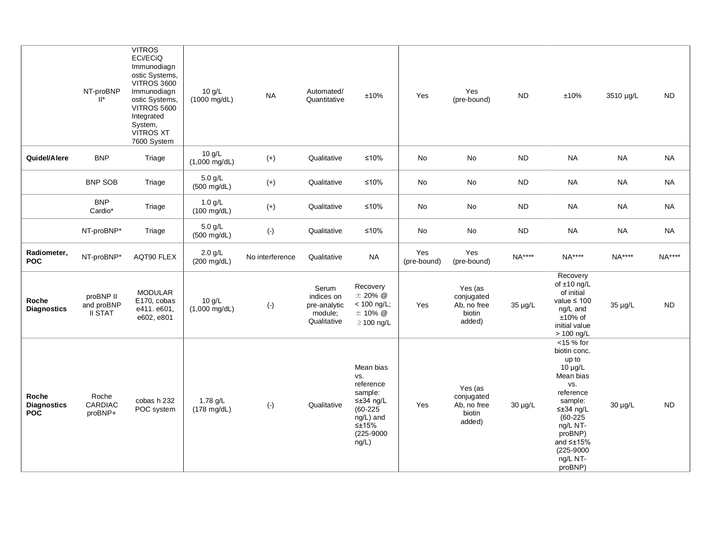|                                           | NT-proBNP<br>$\mathbb{I}^*$               | <b>VITROS</b><br>ECi/ECiQ<br>Immunodiagn<br>ostic Systems,<br><b>VITROS 3600</b><br>Immunodiagn<br>ostic Systems,<br><b>VITROS 5600</b><br>Integrated<br>System,<br><b>VITROS XT</b><br>7600 System | 10 g/L<br>$(1000 \text{ mg/dL})$   | <b>NA</b>       | Automated/<br>Quantitative                                    | ±10%                                                                                                                               | Yes                | Yes<br>(pre-bound)                                       | <b>ND</b>  | ±10%                                                                                                                                                                                                                           | 3510 µg/L | <b>ND</b> |
|-------------------------------------------|-------------------------------------------|-----------------------------------------------------------------------------------------------------------------------------------------------------------------------------------------------------|------------------------------------|-----------------|---------------------------------------------------------------|------------------------------------------------------------------------------------------------------------------------------------|--------------------|----------------------------------------------------------|------------|--------------------------------------------------------------------------------------------------------------------------------------------------------------------------------------------------------------------------------|-----------|-----------|
| Quidel/Alere                              | <b>BNP</b>                                | Triage                                                                                                                                                                                              | 10 g/L<br>$(1,000 \text{ mg/dL})$  | $(+)$           | Qualitative                                                   | $≤10%$                                                                                                                             | No                 | No                                                       | ${\sf ND}$ | <b>NA</b>                                                                                                                                                                                                                      | <b>NA</b> | <b>NA</b> |
|                                           | <b>BNP SOB</b>                            | Triage                                                                                                                                                                                              | $5.0$ g/L<br>(500 mg/dL)           | $(+)$           | Qualitative                                                   | $≤10%$                                                                                                                             | No                 | No                                                       | <b>ND</b>  | <b>NA</b>                                                                                                                                                                                                                      | <b>NA</b> | <b>NA</b> |
|                                           | <b>BNP</b><br>Cardio*                     | Triage                                                                                                                                                                                              | $1.0$ g/L<br>$(100 \text{ mg/dL})$ | $(+)$           | Qualitative                                                   | $≤10%$                                                                                                                             | No                 | No                                                       | ${\sf ND}$ | <b>NA</b>                                                                                                                                                                                                                      | <b>NA</b> | <b>NA</b> |
|                                           | NT-proBNP*                                | Triage                                                                                                                                                                                              | $5.0$ g/L<br>$(500 \text{ mg/dL})$ | $(\cdot)$       | Qualitative                                                   | $≤10%$                                                                                                                             | No                 | $\mathsf{No}$                                            | <b>ND</b>  | <b>NA</b>                                                                                                                                                                                                                      | <b>NA</b> | <b>NA</b> |
| Radiometer,<br><b>POC</b>                 | NT-proBNP*                                | AQT90 FLEX                                                                                                                                                                                          | $2.0$ g/L<br>$(200 \text{ mg/dL})$ | No interference | Qualitative                                                   | <b>NA</b>                                                                                                                          | Yes<br>(pre-bound) | Yes<br>(pre-bound)                                       | NA****     | NA****                                                                                                                                                                                                                         | NA****    | NA****    |
| Roche<br><b>Diagnostics</b>               | proBNP II<br>and proBNP<br><b>II STAT</b> | <b>MODULAR</b><br>E170, cobas<br>e411. e601,<br>e602, e801                                                                                                                                          | 10 g/L<br>$(1,000 \text{ mg/dL})$  | $(\cdot)$       | Serum<br>indices on<br>pre-analytic<br>module;<br>Qualitative | Recovery<br>$\pm$ 20% $\omega$<br>< 100 ng/L;<br>$±$ 10% @<br>$\geq$ 100 ng/L                                                      | Yes                | Yes (as<br>conjugated<br>Ab, no free<br>biotin<br>added) | 35 µg/L    | Recovery<br>of $\pm 10$ ng/L<br>of initial<br>value $\leq 100$<br>ng/L and<br>$±10\%$ of<br>initial value<br>> 100 ng/L                                                                                                        | 35 µg/L   | <b>ND</b> |
| Roche<br><b>Diagnostics</b><br><b>POC</b> | Roche<br>CARDIAC<br>proBNP+               | cobas h 232<br>POC system                                                                                                                                                                           | 1.78 g/L<br>$(178 \text{ mg/dL})$  | $(\cdot)$       | Qualitative                                                   | Mean bias<br>VS.<br>reference<br>sample:<br>$\leq \pm 34$ ng/L<br>$(60-225)$<br>ng/L) and<br>$\leq \pm 15\%$<br>(225-9000<br>ng/L) | Yes                | Yes (as<br>conjugated<br>Ab, no free<br>biotin<br>added) | 30 µg/L    | $<$ 15 % for<br>biotin conc.<br>up to<br>$10 \mu g/L$<br>Mean bias<br>VS.<br>reference<br>sample:<br>$\leq \pm 34$ ng/L<br>$(60 - 225)$<br>ng/L NT-<br>proBNP)<br>and $\leq \pm 15\%$<br>$(225 - 9000)$<br>ng/L NT-<br>proBNP) | 30 µg/L   | <b>ND</b> |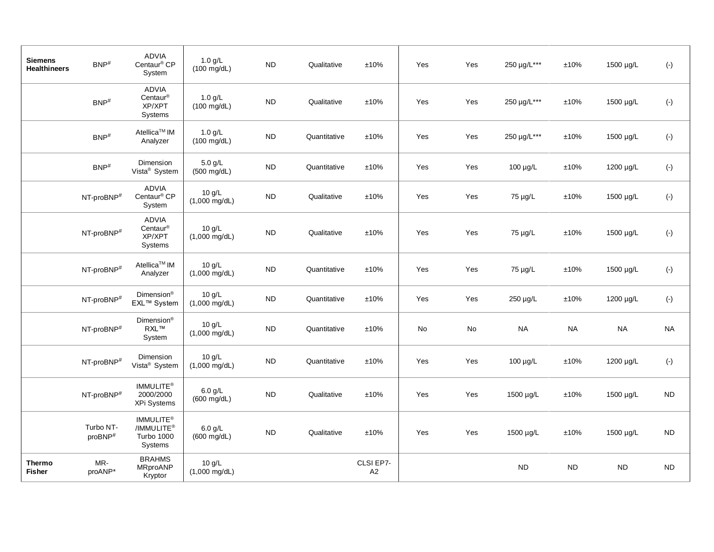| <b>Siemens</b><br><b>Healthineers</b> | $BNP$ <sup>#</sup>               | ADVIA<br>Centaur <sup>®</sup> CP<br>System                               | $1.0$ g/L<br>$(100 \text{ mg/dL})$ | <b>ND</b>  | Qualitative  | $\pm 10\%$                  | Yes | Yes                          | 250 µg/L*** | ±10%       | 1500 µg/L | $(\cdot)$    |
|---------------------------------------|----------------------------------|--------------------------------------------------------------------------|------------------------------------|------------|--------------|-----------------------------|-----|------------------------------|-------------|------------|-----------|--------------|
|                                       | $BNP$ #                          | ADVIA<br>Centaur <sup>®</sup><br>XP/XPT<br>Systems                       | $1.0$ g/L<br>$(100 \text{ mg/dL})$ | <b>ND</b>  | Qualitative  | ±10%                        | Yes | Yes                          | 250 µg/L*** | ±10%       | 1500 µg/L | $(\cdot)$    |
|                                       | $\mathsf{BNP}^{\#}$              | Atellica <sup>™</sup> IM<br>Analyzer                                     | $1.0$ g/L<br>$(100 \text{ mg/dL})$ | ${\sf ND}$ | Quantitative | ±10%                        | Yes | Yes                          | 250 µg/L*** | ±10%       | 1500 µg/L | $(\cdot)$    |
|                                       | BNP <sup>#</sup>                 | Dimension<br>Vista <sup>®</sup> System                                   | $5.0$ g/L<br>$(500 \text{ mg/dL})$ | ${\sf ND}$ | Quantitative | ±10%                        | Yes | Yes                          | 100 µg/L    | ±10%       | 1200 µg/L | $(\cdot)$    |
|                                       | NT-proBNP <sup>#</sup>           | ADVIA<br>Centaur <sup>®</sup> CP<br>System                               | 10 g/L<br>$(1,000 \text{ mg/dL})$  | <b>ND</b>  | Qualitative  | ±10%                        | Yes | Yes                          | 75 µg/L     | ±10%       | 1500 µg/L | $(\text{-})$ |
|                                       | NT-proBNP <sup>#</sup>           | ADVIA<br>$Centaur^{\circledR}$<br>XP/XPT<br>Systems                      | 10 g/L<br>$(1,000 \text{ mg/dL})$  | ND         | Qualitative  | $\pm 10\%$                  | Yes | Yes                          | 75 µg/L     | $\pm 10\%$ | 1500 µg/L | $(\cdot)$    |
|                                       | NT-proBNP <sup>#</sup>           | Atellica <sup>™</sup> IM<br>Analyzer                                     | 10 g/L<br>$(1,000 \text{ mg/dL})$  | <b>ND</b>  | Quantitative | ±10%                        | Yes | Yes                          | 75 µg/L     | ±10%       | 1500 µg/L | $(\cdot)$    |
|                                       | NT-proBNP <sup>#</sup>           | Dimension <sup>®</sup><br>EXL™ System                                    | 10 g/L<br>$(1,000 \text{ mg/dL})$  | ND         | Quantitative | ±10%                        | Yes | Yes                          | 250 µg/L    | $\pm 10\%$ | 1200 µg/L | $(\cdot)$    |
|                                       | NT-proBNP <sup>#</sup>           | Dimension <sup>®</sup><br>RXL™<br>System                                 | 10 g/L<br>$(1,000 \text{ mg/dL})$  | <b>ND</b>  | Quantitative | $\pm 10\%$                  | No  | $\operatorname{\mathsf{No}}$ | $\sf NA$    | $\sf NA$   | <b>NA</b> | <b>NA</b>    |
|                                       | NT-proBNP <sup>#</sup>           | Dimension<br>Vista <sup>®</sup> System                                   | 10 g/L<br>$(1,000 \text{ mg/dL})$  | ${\sf ND}$ | Quantitative | ±10%                        | Yes | Yes                          | 100 µg/L    | $\pm 10\%$ | 1200 µg/L | $(\cdot)$    |
|                                       | NT-proBNP <sup>#</sup>           | IMMULITE <sup>®</sup><br>2000/2000<br>XPi Systems                        | $6.0$ g/L<br>$(600 \text{ mg/dL})$ | <b>ND</b>  | Qualitative  | ±10%                        | Yes | Yes                          | 1500 µg/L   | ±10%       | 1500 µg/L | <b>ND</b>    |
|                                       | Turbo NT-<br>proBNP <sup>#</sup> | IMMULITE <sup>®</sup><br>/IMMULITE <sup>®</sup><br>Turbo 1000<br>Systems | $6.0$ g/L<br>$(600 \text{ mg/dL})$ | <b>ND</b>  | Qualitative  | ±10%                        | Yes | Yes                          | 1500 µg/L   | ±10%       | 1500 µg/L | <b>ND</b>    |
| <b>Thermo</b><br><b>Fisher</b>        | MR-<br>proANP*                   | <b>BRAHMS</b><br>MRproANP<br>Kryptor                                     | 10 g/L<br>$(1,000 \text{ mg/dL})$  |            |              | CLSI EP7-<br>A <sub>2</sub> |     |                              | <b>ND</b>   | <b>ND</b>  | <b>ND</b> | <b>ND</b>    |